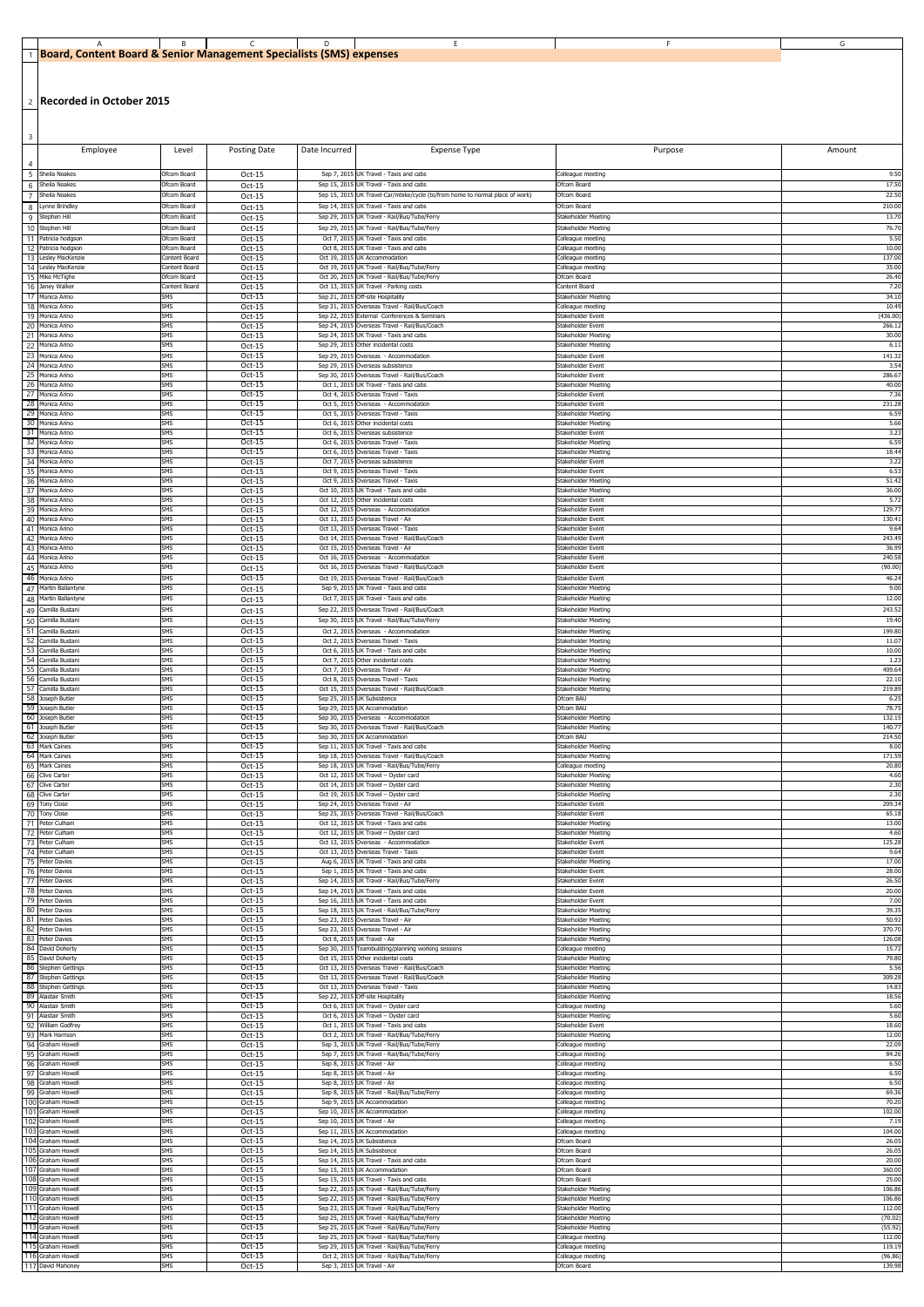| l. Content Board & Senior Management Specialists (SMS) expenses<br><b>Board</b> |  |  |  |
|---------------------------------------------------------------------------------|--|--|--|

2 **Recorded in October 2015**

| 3                     | Employee                                   | Level                        | <b>Posting Date</b>  | Date Incurred                | <b>Expense Type</b>                                                                                         | Purpose                                           | Amount             |
|-----------------------|--------------------------------------------|------------------------------|----------------------|------------------------------|-------------------------------------------------------------------------------------------------------------|---------------------------------------------------|--------------------|
| -5                    | Sheila Noakes                              | Ofcom Board                  | $Oct-15$             |                              | Sep 7, 2015 UK Travel - Taxis and cabs                                                                      | Colleague meeting                                 | 9.50               |
| -6                    | Sheila Noakes                              | Ofcom Board                  | Oct-15               | Sep 15, 2015                 | UK Travel - Taxis and cabs                                                                                  | Ofcom Board                                       | 17.50              |
| 8                     | Sheila Noakes<br>Lynne Brindley            | Ofcom Board<br>Ofcom Board   | Oct-15<br>Oct-15     | Sep 15, 2015                 | UK Travel-Car/mbike/cycle (to/from home to normal place of work)<br>Sep 14, 2015 UK Travel - Taxis and cabs | Ofcom Board<br>Ofcom Board                        | 22.50<br>210.00    |
| -9                    | Stephen Hill                               | Ofcom Board                  | Oct-15               |                              | Sep 29, 2015 UK Travel - Rail/Bus/Tube/Ferry                                                                | Stakeholder Meeting                               | 13.70              |
| 10<br>11              | Stephen Hill<br>Patricia hodgson           | Ofcom Board<br>Ofcom Board   | Oct-15<br>Oct-15     | Sep 29, 2015<br>Oct 7, 2015  | UK Travel - Rail/Bus/Tube/Ferry<br>UK Travel - Taxis and cabs                                               | Stakeholder Meeting<br>Colleague meeting          | 76.70<br>5.50      |
| 12<br>13              | Patricia hodgson<br>Lesley MacKenzie       | Ofcom Board<br>Content Board | Oct-15<br>Oct-15     | Oct 8, 2015<br>Oct 19, 2015  | UK Travel - Taxis and cabs<br>UK Accommodation                                                              | Colleague meeting<br>Colleague meeting            | 10.00<br>137.00    |
| 14                    | Lesley MacKenzie                           | Content Board                | Oct-15               | Oct 19, 2015                 | UK Travel - Rail/Bus/Tube/Ferry                                                                             | Colleague meeting                                 | 35.00              |
| 16                    | 15 Mike McTighe<br>Janey Walker            | Ofcom Board<br>Content Board | Oct-15<br>Oct-15     | Oct 20, 201!<br>Oct 13, 2015 | UK Travel - Rail/Bus/Tube/Ferry<br>UK Travel - Parking costs                                                | Ofcom Board<br>Content Board                      | 26.40<br>7.20      |
| 17<br>-18             | Monica Arino<br>Monica Arino               | <b>SMS</b><br>SMS            | Oct-15<br>Oct-15     | Sep 21, 2015<br>Sep 21, 201! | Off-site Hospitality<br>Overseas Travel - Rail/Bus/Coach                                                    | Stakeholder Meeting<br>Colleague meeting          | 34.10<br>10.49     |
| 19                    | Monica Arino                               | SMS<br>SMS                   | Oct-15<br>Oct-15     | Sep 22, 201!                 | External Conferences & Seminars                                                                             | Stakeholder Event                                 | (436.00)           |
| 20<br>21              | Monica Arino<br>Monica Arino               | SMS                          | Oct-15               | Sep 24, 2015<br>Sep 24, 201! | Overseas Travel - Rail/Bus/Coach<br>UK Travel - Taxis and cabs                                              | Stakeholder Event<br>Stakeholder Meeting          | 266.1<br>30.00     |
| 22<br>23              | Monica Arino<br>Monica Arino               | SMS<br><b>SMS</b>            | Oct-15<br>Oct-15     | Sep 29, 2015<br>Sep 29, 2015 | Other incidental costs<br>Overseas - Accommodation                                                          | Stakeholder Meeting<br>Stakeholder Event          | 6.11<br>141.32     |
| 24                    | Monica Arino                               | <b>SMS</b><br>SMS            | Oct-15               | Sep 29, 2015                 | Overseas subsistence<br>Overseas Travel - Rail/Bus/Coach                                                    | Stakeholder Event                                 | 3.54               |
| 25<br>26              | Monica Arino<br>Monica Arino               | SMS                          | Oct-15<br>Oct-15     | Sep 30, 2015                 | Oct 1, 2015 UK Travel - Taxis and cabs                                                                      | Stakeholder Event<br>Stakeholder Meeting          | 286.67<br>40.00    |
| 27<br>28              | Monica Arino<br>Monica Arino               | SMS<br>SMS                   | Oct-15<br>Oct-15     |                              | Oct 4, 2015 Overseas Travel - Taxis<br>Oct 5, 2015 Overseas - Accommodation                                 | Stakeholder Event<br>Stakeholder Event            | 7.36<br>231.28     |
| 29<br>30              | Monica Arino<br>Monica Arino               | <b>SMS</b><br>SMS            | Oct-15<br>Oct-15     | Oct 5, 2015<br>Oct 6, 2015   | Overseas Travel - Taxis<br>Other incidental costs                                                           | Stakeholder Meeting<br>Stakeholder Meeting        | 6.59<br>5.66       |
| 31                    | Monica Arino                               | <b>SMS</b>                   | Oct-15               | Oct 6, 2015                  | Overseas subsistence                                                                                        | Stakeholder Event                                 | 3.23               |
| -32<br>-33            | Monica Arino<br>Monica Arino               | SMS<br>SMS                   | Oct-15<br>Oct-15     | Oct 6, 2015<br>Oct 6, 2015   | Overseas Travel - Taxis<br>Overseas Travel - Taxis                                                          | Stakeholder Meeting<br>Stakeholder Meeting        | 6.59<br>18.44      |
| -34<br>35             | Monica Arino<br>Monica Arino               | SMS<br>SMS                   | Oct-15<br>Oct-15     | Oct 7, 2015<br>Oct 9, 2015   | Overseas subsistence<br>Overseas Travel - Taxis                                                             | Stakeholder Event<br>Stakeholder Event            | 3.22<br>6.53       |
| -36                   | Monica Arino                               | SMS                          | Oct-15               | Oct 9, 2015                  | Overseas Travel - Taxis                                                                                     | Stakeholder Meeting                               | 51.42              |
| -37<br>38             | Monica Arino<br>Monica Arino               | SMS<br>SMS                   | Oct-15<br>Oct-15     | Oct 10, 2015<br>Oct 12, 2015 | UK Travel - Taxis and cabs<br>Other incidental costs                                                        | Stakeholder Meeting<br>Stakeholder Event          | 36.00<br>5.72      |
| 39<br>40              | Monica Arino<br>Monica Arino               | SMS<br>SMS                   | Oct-15<br>Oct-15     |                              | Oct 12, 2015 Overseas - Accommodation<br>Oct 13, 2015 Overseas Travel - Air                                 | Stakeholder Event<br>Stakeholder Event            | 129.7<br>130.41    |
| -41<br>42             | Monica Arino<br>Monica Arino               | SMS<br><b>SMS</b>            | $Oct-15$<br>Oct-15   | Oct 13, 2015<br>Oct 14, 2015 | Overseas Travel - Taxis<br>Overseas Travel - Rail/Bus/Coach                                                 | Stakeholder Event                                 | 9.64<br>243.49     |
| 43                    | Monica Arino                               | SMS                          | Oct-15               |                              | Oct 15, 2015 Overseas Travel - Air                                                                          | Stakeholder Event<br>Stakeholder Event            | 36.99              |
| 44<br>45              | Monica Arino<br>Monica Arino               | SMS<br>SMS                   | Oct-15<br>Oct-15     | Oct 16, 201!<br>Oct 16, 2015 | Overseas - Accommodation<br>Overseas Travel - Rail/Bus/Coach                                                | Stakeholder Event<br>Stakeholder Event            | 240.58<br>(90.00)  |
| 46                    | Monica Arino                               | <b>SMS</b><br>SMS            | Oct-15               | Oct 19, 2015                 | Overseas Travel - Rail/Bus/Coach                                                                            | Stakeholder Event                                 | 46.24              |
| 47<br>48              | Martin Ballantyne<br>Martin Ballantyne     | SMS                          | Oct-15<br>Oct-15     |                              | Sep 9, 2015 UK Travel - Taxis and cabs<br>Oct 7, 2015 UK Travel - Taxis and cabs                            | Stakeholder Meeting<br>Stakeholder Meeting        | 9.00<br>12.00      |
| 49<br>50              | Camilla Bustani<br>Camilla Bustani         | SMS<br>SMS                   | Oct-15               | Sep 22, 2015                 | Overseas Travel - Rail/Bus/Coach<br>Sep 30, 2015 UK Travel - Rail/Bus/Tube/Ferry                            | Stakeholder Meeting<br>Stakeholder Meeting        | 243.52<br>19.40    |
|                       | 51 Camilla Bustani                         | <b>SMS</b>                   | Oct-15<br>Oct-15     |                              | Oct 2, 2015 Overseas - Accommodation                                                                        | Stakeholder Meeting                               | 199.80             |
| 53                    | 52 Camilla Bustani<br>Camilla Bustani      | SMS<br>SMS                   | Oct-15<br>Oct-15     |                              | Oct 2, 2015 Overseas Travel - Taxis<br>Oct 6, 2015 UK Travel - Taxis and cabs                               | Stakeholder Meeting<br>Stakeholder Meeting        | 11.07<br>10.00     |
| - 54<br>55            | Camilla Bustani<br>Camilla Bustani         | SMS<br>SMS                   | Oct-15<br>Oct-15     |                              | Oct 7, 2015 Other incidental costs<br>Oct 7, 2015 Overseas Travel - Air                                     | Stakeholder Meeting<br>Stakeholder Meeting        | 1.23<br>409.64     |
| 56                    | Camilla Bustani                            | SMS                          | Oct-15               |                              | Oct 8, 2015 Overseas Travel - Taxis                                                                         | Stakeholder Meeting                               | 22.10              |
| 57<br>58              | Camilla Bustani<br>Joseph Butler           | SMS<br><b>SMS</b>            | Oct-15<br>Oct-15     | Sep 25, 2015                 | Oct 15, 2015 Overseas Travel - Rail/Bus/Coach<br><b>UK Subsistence</b>                                      | Stakeholder Meeting<br>Ofcom BAU                  | 219.89<br>6.25     |
|                       | 59 Joseph Butler<br>60 Joseph Butler       | <b>SMS</b><br><b>SMS</b>     | Oct-15<br>Oct-15     |                              | Sep 29, 2015 UK Accommodation<br>Sep 30, 2015 Overseas - Accommodation                                      | Ofcom BAU<br>Stakeholder Meeting                  | 78.75<br>132.15    |
|                       | 61 Joseph Butler                           | SMS                          | Oct-15               |                              | Sep 30, 2015 Overseas Travel - Rail/Bus/Coach                                                               | Stakeholder Meeting                               | 140.7              |
| 63                    | 62 Joseph Butler<br>Mark Caines            | <b>SMS</b><br><b>SMS</b>     | Oct-15<br>Oct-15     |                              | Sep 30, 2015 UK Accommodation<br>Sep 11, 2015 UK Travel - Taxis and cabs                                    | Ofcom BAU<br>Stakeholder Meeting                  | 214.50<br>8.00     |
| 64<br>65              | Mark Caines<br><b>Mark Caines</b>          | SMS<br>SMS                   | Oct-15<br>Oct-15     |                              | Sep 18, 2015 Overseas Travel - Rail/Bus/Coach<br>Sep 18, 2015 UK Travel - Rail/Bus/Tube/Ferry               | Stakeholder Meeting<br>Colleague meeting          | 171.59<br>20.80    |
| 66<br>67              | <b>Clive Carter</b><br><b>Clive Carter</b> | <b>SMS</b><br>SMS            | Oct-15<br>Oct-15     |                              | Oct 12, 2015 UK Travel - Oyster card<br>Oct 14, 2015 UK Travel - Oyster card                                | Stakeholder Meeting<br>Stakeholder Meeting        | 4.60<br>2.30       |
|                       | 68 Clive Carter                            | SMS                          | Oct-15               |                              | Oct 19, 2015 UK Travel - Oyster card                                                                        | Stakeholder Meeting                               | 2.30               |
|                       | 69 Tony Close<br>70 Tony Close             | <b>SMS</b><br>SMS            | Oct-15<br>Oct-15     |                              | Sep 24, 2015 Overseas Travel - Air<br>Sep 25, 2015 Overseas Travel - Rail/Bus/Coach                         | Stakeholder Event<br>Stakeholder Event            | 209.34<br>65.18    |
| 71<br>72              | Peter Culham<br>Peter Culham               | <b>SMS</b><br>SMS            | Oct-15<br>Oct-15     |                              | Oct 12, 2015 UK Travel - Taxis and cabs<br>Oct 12, 2015 UK Travel - Oyster card                             | Stakeholder Meeting<br>Stakeholder Meeting        | 13.00<br>4.60      |
| 73                    | Peter Culham                               | SMS                          | Oct-15               |                              | Oct 13, 2015 Overseas - Accommodation                                                                       | Stakeholder Event                                 | 125.28             |
| 74<br>75              | Peter Culham<br>Peter Davies               | SMS<br><b>SMS</b>            | Oct-15<br>Oct-15     |                              | Oct 13, 2015 Overseas Travel - Taxis<br>Aug 6, 2015 UK Travel - Taxis and cabs                              | Stakeholder Event<br><b>Stakeholder Meeting</b>   | 9.64<br>17.00      |
| 76<br>77              | Peter Davies<br>Peter Davies               | <b>SMS</b><br>SMS            | Oct-15<br>Oct-15     |                              | Sep 1, 2015 UK Travel - Taxis and cabs<br>Sep 14, 2015 UK Travel - Rail/Bus/Tube/Ferry                      | Stakeholder Event<br>Stakeholder Event            | 28.00<br>26.50     |
| 78<br>79              | Peter Davies<br>Peter Davies               | SMS<br>SMS                   | Oct-15<br>Oct-15     |                              | Sep 14, 2015 UK Travel - Taxis and cabs<br>Sep 16, 2015 UK Travel - Taxis and cabs                          | Stakeholder Event<br>Stakeholder Event            | 20.00<br>7.00      |
| 80                    | Peter Davies                               | SMS                          | Oct-15               |                              | Sep 18, 2015 UK Travel - Rail/Bus/Tube/Ferry                                                                | Stakeholder Meeting                               | 39.35              |
| -82                   | 81 Peter Davies<br>Peter Davies            | SMS<br><b>SMS</b>            | Oct-15<br>Oct-15     |                              | Sep 23, 2015 Overseas Travel - Air<br>Sep 23, 2015 Overseas Travel - Air                                    | Stakeholder Meeting<br>Stakeholder Meeting        | 50.92<br>370.70    |
| 83<br>84              | Peter Davies<br>David Doherty              | <b>SMS</b><br>SMS            | Oct-15<br>Oct-15     |                              | Oct 8, 2015 UK Travel - Air<br>Sep 30, 2015 Teambuilding/planning working sessions                          | Stakeholder Meeting<br>Colleague meeting          | 126.08<br>15.72    |
| 85                    | David Doherty                              | SMS<br>SMS                   | Oct-15               |                              | Oct 15, 2015 Other incidental costs                                                                         | Stakeholder Meeting                               | 79.80<br>5.56      |
|                       | 86 Stephen Gettings<br>87 Stephen Gettings | SMS                          | Oct-15<br>Oct-15     |                              | Oct 13, 2015 Overseas Travel - Rail/Bus/Coach<br>Oct 13, 2015 Overseas Travel - Rail/Bus/Coach              | Stakeholder Meeting<br>Stakeholder Meeting        | 309.28             |
| 88<br>89              | <b>Stephen Gettings</b><br>Alastair Smith  | <b>SMS</b><br>SMS            | Oct-15<br>$Oct-15$   |                              | Oct 13, 2015 Overseas Travel - Taxis<br>Sep 22, 2015 Off-site Hospitality                                   | Stakeholder Meeting<br>Stakeholder Meeting        | 14.83<br>18.56     |
| 90 <sup>1</sup><br>91 | Alastair Smith<br>Alastair Smith           | <b>SMS</b><br>SMS            | Oct-15<br>Oct-15     |                              | Oct 6, 2015 UK Travel - Oyster card<br>Oct 6, 2015 UK Travel - Oyster card                                  | Colleague meeting<br>Stakeholder Meeting          | 5.60<br>5.60       |
| 92                    | William Godfrey                            | SMS                          | Oct-15               |                              | Oct 1, 2015 UK Travel - Taxis and cabs                                                                      | Stakeholder Event                                 | 18.60              |
| -93<br>94             | Mark Harrison<br>Graham Howell             | SMS<br>SMS                   | Oct-15<br>Oct-15     |                              | Oct 2, 2015 UK Travel - Rail/Bus/Tube/Ferry<br>Sep 3, 2015 UK Travel - Rail/Bus/Tube/Ferry                  | Stakeholder Meeting<br>Colleague meeting          | 12.00<br>22.09     |
| 95                    | <b>Graham Howell</b><br>96 Graham Howell   | SMS<br><b>SMS</b>            | Oct-15<br>Oct-15     |                              | Sep 7, 2015 UK Travel - Rail/Bus/Tube/Ferry<br>Sep 8, 2015 UK Travel - Air                                  | Colleague meeting<br>Colleague meeting            | 84.26<br>6.50      |
| 97<br>98              | <b>Graham Howell</b><br>Graham Howell      | <b>SMS</b><br>SMS            | Oct-15<br>Oct-15     |                              | Sep 8, 2015 UK Travel - Air<br>Sep 8, 2015 UK Travel - Air                                                  | Colleague meeting<br>Colleague meeting            | 6.50<br>6.50       |
| 99                    | Graham Howell                              | <b>SMS</b>                   | Oct-15               |                              | Sep 8, 2015 UK Travel - Rail/Bus/Tube/Ferry                                                                 | Colleague meeting                                 | 69.36              |
| 100                   | Graham Howell<br>101 Graham Howell         | <b>SMS</b><br><b>SMS</b>     | Oct-15<br>Oct-15     |                              | Sep 9, 2015 UK Accommodation<br>Sep 10, 2015 UK Accommodation                                               | Colleague meeting<br>Colleague meeting            | 70.20<br>102.00    |
|                       | 102 Graham Howell<br>103 Graham Howell     | SMS<br>SMS                   | Oct-15<br>Oct-15     |                              | Sep 10, 2015 UK Travel - Air<br>Sep 11, 2015 UK Accommodation                                               | Colleague meeung<br>Colleague meeting             | 7.19<br>104.00     |
|                       | 104 Graham Howell                          | SMS                          | Oct-15               |                              | Sep 14, 2015 UK Subsistence                                                                                 | Ofcom Board                                       | 26.05              |
|                       | 105 Graham Howell<br>106 Graham Howell     | SMS<br>SMS                   | Oct-15<br>Oct-15     |                              | Sep 14, 2015 UK Subsistence<br>Sep 14, 2015 UK Travel - Taxis and cabs                                      | Ofcom Board<br>Ofcom Board                        | 26.05<br>20.00     |
|                       | 107 Graham Howell<br>108 Graham Howell     | <b>SMS</b><br>SMS            | Oct-15<br>Oct-15     |                              | Sep 15, 2015 UK Accommodation<br>Sep 15, 2015 UK Travel - Taxis and cabs                                    | Ofcom Board<br>Ofcom Board                        | 360.00<br>25.00    |
|                       | 109 Graham Howell<br>110 Graham Howell     | SMS<br>SMS                   | Oct-15<br>Oct-15     |                              | Sep 22, 2015 UK Travel - Rail/Bus/Tube/Ferry<br>Sep 22, 2015 UK Travel - Rail/Bus/Tube/Ferry                | Stakeholder Meeting<br><b>Stakeholder Meeting</b> | 106.86<br>106.86   |
|                       | 111 Graham Howell                          | SMS                          | Oct-15               |                              | Sep 23, 2015 UK Travel - Rail/Bus/Tube/Ferry                                                                | Stakeholder Meeting                               | 112.00             |
|                       | 112 Graham Howell<br>113 Graham Howell     | SMS<br>SMS                   | Oct-15<br>$Oct-15$   |                              | Sep 25, 2015 UK Travel - Rail/Bus/Tube/Ferry<br>Sep 25, 2015 UK Travel - Rail/Bus/Tube/Ferry                | Stakeholder Meeting<br>Stakeholder Meeting        | (70.02)<br>(55.92) |
|                       | 114 Graham Howell<br>115 Graham Howell     | <b>SMS</b><br>SMS            | $Oct-15$<br>$Oct-15$ |                              | Sep 25, 2015 UK Travel - Rail/Bus/Tube/Ferry<br>Sep 29, 2015 UK Travel - Rail/Bus/Tube/Ferry                | Colleague meeting<br>Colleague meeting            | 112.00<br>119.19   |
|                       | 116 Graham Howell                          | SMS                          | Oct-15               |                              | Oct 2, 2015 UK Travel - Rail/Bus/Tube/Ferry                                                                 | Colleague meeting                                 | (96.86)            |
|                       | 117 David Mahoney                          | SMS                          | $Oct-15$             |                              | Sep 3, 2015 UK Travel - Air                                                                                 | Ofcom Board                                       | 139.98             |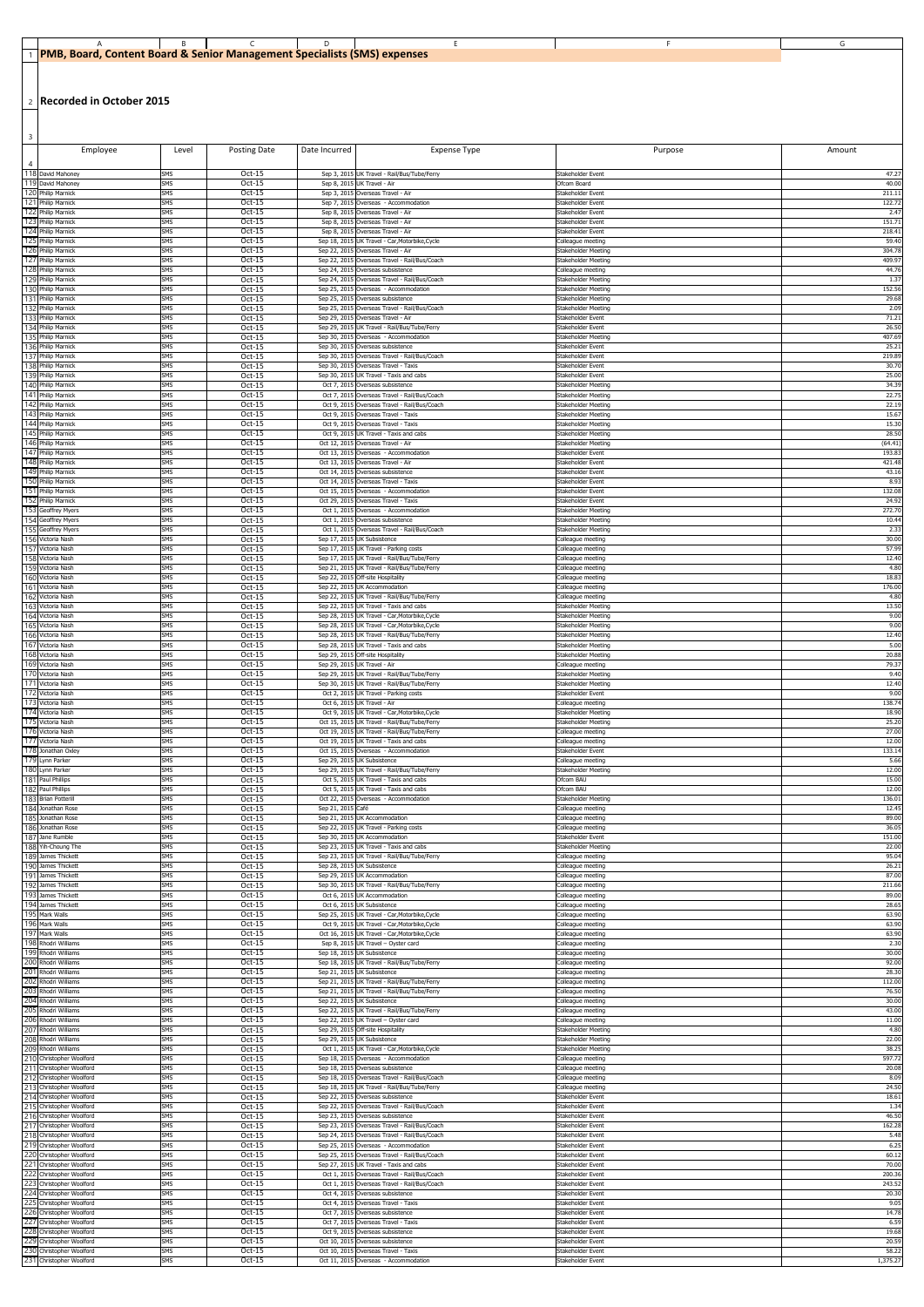## 1 **PMB, Board, Content Board & Senior Management Specialists (SMS) expenses** A B C D D E D F G

2 **Recorded in October 2015**

| $\overline{\mathbf{3}}$<br>Employee        | Level                    | <b>Posting Date</b> | Date Incurred                | <b>Expense Type</b>                                                               | Purpose                                         | Amount          |
|--------------------------------------------|--------------------------|---------------------|------------------------------|-----------------------------------------------------------------------------------|-------------------------------------------------|-----------------|
|                                            |                          |                     |                              |                                                                                   |                                                 |                 |
| 118 David Mahoney                          | <b>SMS</b>               | $Oct-15$            |                              | Sep 3, 2015 UK Travel - Rail/Bus/Tube/Ferry                                       | Stakeholder Event                               | 47.27           |
| 119 David Mahoney                          | <b>SMS</b>               | Oct-15              |                              | Sep 8, 2015 UK Travel - Air                                                       | Ofcom Board                                     | 40.00           |
| 120 Philip Marnick                         | <b>SMS</b>               | Oct-15              |                              | Sep 3, 2015 Overseas Travel - Air                                                 | Stakeholder Event                               | 211.1           |
| 121 Philip Marnick                         | <b>SMS</b>               | Oct-15              |                              | Sep 7, 2015 Overseas - Accommodation                                              | Stakeholder Event                               | 122.72          |
| 122 Philip Marnick                         | SMS                      | $Oct-15$            |                              | Sep 8, 2015 Overseas Travel - Air                                                 | Stakeholder Event                               | 2.47            |
| 123 Philip Marnick                         | <b>SMS</b>               | Oct-15              |                              | Sep 8, 2015 Overseas Travel - Air                                                 | Stakeholder Event                               | 151.71          |
| 124 Philip Marnick                         | <b>SMS</b>               | Oct-15              |                              | Sep 8, 2015 Overseas Travel - Air                                                 | Stakeholder Event                               | 218.41          |
| 125 Philip Marnick                         | <b>SMS</b>               | Oct-15              | Sep 18, 2015                 | UK Travel - Car, Motorbike, Cycle                                                 | Colleague meeting                               | 59.40           |
| 126 Philip Marnick                         | <b>SMS</b>               | Oct-15              | Sep 22, 2019                 | Overseas Travel - Air                                                             | Stakeholder Meeting                             | 304.78          |
| 127 Philip Marnick                         | SMS                      | Oct-15              | Sep 22, 2019                 | Overseas Travel - Rail/Bus/Coach                                                  | Stakeholder Meeting                             | 409.97          |
| 128 Philip Marnick                         | SMS                      | Oct-15              | Sep 24, 2019                 | Overseas subsistence                                                              | Colleague meeting                               | 44.76           |
| 129 Philip Marnick                         | <b>SMS</b>               | Oct-15              | Sep 24, 2015                 | Overseas Travel - Rail/Bus/Coach                                                  | Stakeholder Meeting                             | 1.37            |
| 130 Philip Marnick                         | <b>SMS</b>               | Oct-15              | Sep 25, 2015                 | Overseas - Accommodation                                                          | <b>Stakeholder Meeting</b>                      | 152.56          |
| 131 Philip Marnick                         | <b>SMS</b>               | Oct-15              | Sep 25, 2015                 | Overseas subsistence                                                              | <b>Stakeholder Meeting</b>                      | 29.68           |
| 132 Philip Marnick                         | <b>SMS</b>               | Oct-15              | Sep 25, 2015                 | Overseas Travel - Rail/Bus/Coach                                                  | <b>Stakeholder Meeting</b>                      | 2.09            |
| 133 Philip Marnick                         | SMS                      | Oct-15              |                              | Sep 29, 2015 Overseas Travel - Air                                                | Stakeholder Event                               | 71.21           |
| 134 Philip Marnick                         | <b>SMS</b>               | Oct-15              | Sep 29, 2015                 | UK Travel - Rail/Bus/Tube/Ferry                                                   | Stakeholder Event                               | 26.50           |
| 135 Philip Marnick                         | <b>SMS</b>               | Oct-15              |                              | Sep 30, 2015 Overseas - Accommodation                                             | <b>Stakeholder Meeting</b>                      | 407.69          |
| 136 Philip Marnick                         | SMS                      | Oct-15              | Sep 30, 2015                 | Overseas subsistence                                                              | Stakeholder Event                               | 25.21           |
| 137 Philip Marnick                         | <b>SMS</b>               | Oct-15              | Sep 30, 2015                 | Overseas Travel - Rail/Bus/Coach                                                  | Stakeholder Event                               | 219.89          |
| 138 Philip Marnick                         | <b>SMS</b>               | Oct-15              | Sep 30, 2015                 | Overseas Travel - Taxis                                                           | Stakeholder Event                               | 30.70           |
| 139 Philip Marnick                         | <b>SMS</b>               | Oct-15              | Sep 30, 201                  | UK Travel - Taxis and cabs                                                        | Stakeholder Event                               | 25.00           |
| 140 Philip Marnick                         | SMS                      | Oct-15              | Oct 7, 201                   | Overseas subsistence                                                              | <b>Stakeholder Meeting</b>                      | 34.39           |
| 141 Philip Marnick                         | <b>SMS</b>               | Oct-15              | Oct 7, 2019                  | Overseas Travel - Rail/Bus/Coach                                                  | Stakeholder Meeting                             | 22.75           |
| 142 Philip Marnick                         | <b>SMS</b>               | Oct-15              | Oct 9, 2019                  | Overseas Travel - Rail/Bus/Coach                                                  | Stakeholder Meeting                             | 22.19           |
| 143 Philip Marnick                         | <b>SMS</b>               | Oct-15              | Oct 9, 2015                  | Overseas Travel - Taxis                                                           | <b>Stakeholder Meeting</b>                      | 15.67           |
| 144 Philip Marnick                         | <b>SMS</b>               | Oct-15              |                              | Oct 9, 2015 Overseas Travel - Taxis                                               | Stakeholder Meeting                             | 15.30           |
| 145 Philip Marnick                         | <b>SMS</b>               | Oct-15              | Oct 9, 2015                  | UK Travel - Taxis and cabs                                                        | <b>Stakeholder Meeting</b>                      | 28.50           |
| 146 Philip Marnick                         | <b>SMS</b>               | Oct-15              |                              | Oct 12, 2015 Overseas Travel - Air                                                | Stakeholder Meeting                             | (64.41)         |
| 147 Philip Marnick                         | <b>SMS</b>               | Oct-15              |                              | Oct 13, 2015 Overseas - Accommodation                                             | Stakeholder Event                               | 193.83          |
| 148 Philip Marnick                         | <b>SMS</b>               | Oct-15              |                              | Oct 13, 2015 Overseas Travel - Air                                                | Stakeholder Event                               | 421.48          |
| 149 Philip Marnick                         | SMS                      | Oct-15              |                              | Oct 14, 2015 Overseas subsistence                                                 | Stakeholder Event                               | 43.16           |
| 150 Philip Marnick                         | <b>SMS</b>               | $Oct-15$            |                              | Oct 14, 2015 Overseas Travel - Taxis                                              | Stakeholder Event                               | 8.93            |
| 151 Philip Marnick                         | <b>SMS</b>               | Oct-15              | Oct 15, 201                  | Overseas - Accommodation                                                          | Stakeholder Event                               | 132.08          |
| 152 Philip Marnick                         | <b>SMS</b>               | Oct-15              | Oct 29, 201                  | Overseas Travel - Taxis                                                           | Stakeholder Event                               | 24.92           |
| 153 Geoffrey Myers                         | <b>SMS</b>               | Oct-15              | Oct 1, 2015                  | Overseas - Accommodation                                                          | Stakeholder Meeting                             | 272.70          |
| 154 Geoffrey Myers                         | <b>SMS</b>               | Oct-15              | Oct 1, 2019                  | Overseas subsistence                                                              | Stakeholder Meeting                             | 10.44           |
| 155 Geoffrey Myers                         | SMS                      | Oct-15              | Oct 1, 2015                  | Overseas Travel - Rail/Bus/Coach                                                  | Stakeholder Meeting                             | 2.33            |
| 156 Victoria Nash                          | <b>SMS</b>               | Oct-15              | Sep 17, 201                  | <b>UK Subsistence</b>                                                             | Colleague meeting                               | 30.00           |
| 157 Victoria Nash                          | <b>SMS</b>               | Oct-15              | Sep 17, 2015                 | UK Travel - Parking costs                                                         | Colleague meeting                               | 57.99           |
| 158 Victoria Nash<br>159 Victoria Nash     | <b>SMS</b><br><b>SMS</b> | Oct-15<br>Oct-15    | Sep 17, 2015                 | UK Travel - Rail/Bus/Tube/Ferry                                                   | Colleague meeting                               | 12.40<br>4.80   |
| 160 Victoria Nash                          | <b>SMS</b>               | Oct-15              |                              | Sep 21, 2015 UK Travel - Rail/Bus/Tube/Ferry<br>Sep 22, 2015 Off-site Hospitality | Colleague meeting<br>Colleague meeting          | 18.83           |
| 161<br>Victoria Nash<br>162 Victoria Nash  | <b>SMS</b><br>SMS        | Oct-15<br>Oct-15    | Sep 22, 2015<br>Sep 22, 2019 | UK Accommodation<br>UK Travel - Rail/Bus/Tube/Ferry                               | Colleague meeting<br>Colleague meeting          | 176.00<br>4.80  |
| 163<br>Victoria Nash<br>164 Victoria Nash  | SMS<br><b>SMS</b>        | Oct-15<br>Oct-15    | Sep 22, 201                  | UK Travel - Taxis and cabs<br>Sep 28, 2015 UK Travel - Car, Motorbike, Cycle      | Stakeholder Meeting<br>Stakeholder Meeting      | 13.50<br>9.00   |
| 165 Victoria Nash                          | SMS                      | Oct-15              |                              | Sep 28, 2015 UK Travel - Car, Motorbike, Cycle                                    | Stakeholder Meeting                             | 9.00            |
| 166 Victoria Nash                          | SMS                      | $Oct-15$            |                              | Sep 28, 2015 UK Travel - Rail/Bus/Tube/Ferry                                      | <b>Stakeholder Meeting</b>                      | 12.40           |
| 167 Victoria Nash                          | <b>SMS</b>               | Oct-15              |                              | Sep 28, 2015 UK Travel - Taxis and cabs                                           | <b>Stakeholder Meeting</b>                      | 5.00            |
| 168 Victoria Nash                          | <b>SMS</b>               | Oct-15              |                              | Sep 29, 2015 Off-site Hospitality                                                 | Stakeholder Meeting                             | 20.88           |
| 169 Victoria Nash                          | <b>SMS</b>               | Oct-15              |                              | Sep 29, 2015 UK Travel - Air                                                      | Colleague meeting                               | 79.37           |
| 170 Victoria Nash                          | <b>SMS</b>               | Oct-15              |                              | Sep 29, 2015 UK Travel - Rail/Bus/Tube/Ferry                                      | Stakeholder Meeting                             | 9.40            |
| 171 Victoria Nash                          | <b>SMS</b>               | Oct-15              |                              | Sep 30, 2015 UK Travel - Rail/Bus/Tube/Ferry                                      | Stakeholder Meeting                             | 12.40           |
| 172 Victoria Nash                          | SMS                      | Oct-15              |                              | Oct 2, 2015 UK Travel - Parking costs                                             | Stakeholder Event                               | 9.00            |
| 173 Victoria Nash                          | SMS                      | Oct-15              |                              | Oct 6, 2015 UK Travel - Air                                                       | Colleague meeting                               | 138.74          |
| 174 Victoria Nash                          | SMS                      | Oct-15              |                              | Oct 9, 2015 UK Travel - Car, Motorbike, Cycle                                     | Stakeholder Meeting                             | 18.90           |
| 175 Victoria Nash                          | SMS                      | Oct-15              |                              | Oct 15, 2015 UK Travel - Rail/Bus/Tube/Ferry                                      | <b>Stakeholder Meeting</b>                      | 25.20           |
| 176 Victoria Nash                          | <b>SMS</b>               | Oct-15              | Oct 19, 2015                 | UK Travel - Rail/Bus/Tube/Ferry                                                   | Colleague meeting                               | 27.00           |
| 177 Victoria Nash                          | SMS                      | Oct-15              | Oct 19, 2019                 | UK Travel - Taxis and cabs                                                        | Colleague meeting                               | 12.00           |
| 178 Jonathan Oxley                         | SMS                      | Oct-15              | Oct 15, 2019                 | Overseas - Accommodation                                                          | Stakeholder Event                               | 133.14          |
| 179 Lynn Parker                            | SMS                      | Oct-15              | Sep 29, 2015                 | <b>UK Subsistence</b>                                                             | Colleague meeting                               | 5.66            |
| 180 Lynn Parker                            | SMS                      | Oct-15              | Sep 29, 2015                 | UK Travel - Rail/Bus/Tube/Ferry                                                   | Stakeholder Meeting                             | 12.00           |
| 181 Paul Phillips                          | SMS                      | Oct-15              |                              | Oct 5, 2015 UK Travel - Taxis and cabs                                            | Ofcom BAU                                       | 15.00           |
| 182 Paul Phillips                          | <b>SMS</b>               | Oct-15              |                              | Oct 5, 2015 UK Travel - Taxis and cabs                                            | Ofcom BAU                                       | 12.00           |
| 183 Brian Potterill<br>184 Jonathan Rose   | SMS<br>SMS               | Oct-15<br>Oct-15    | Sep 21, 2015 Café            | Oct 22, 2015 Overseas - Accommodation                                             | Stakeholder Meeting<br>Colleague meeting        | 136.01<br>12.45 |
| 185 Jonathan Rose                          | SMS                      | Oct-15              |                              | Sep 21, 2015 UK Accommodation                                                     | Colleague meeting                               | 89.00           |
| 186 Jonathan Rose                          | SMS                      | Oct-15              |                              | Sep 22, 2015 UK Travel - Parking costs                                            | Colleague meeting                               | 36.05           |
| 187 Jane Rumble                            | SMS                      | $Oct-15$            |                              | Sep 30, 2015 UK Accommodation                                                     | Stakeholder Event                               | 151.00          |
| 188 Yih-Choung The                         | SMS                      | Oct-15              |                              | Sep 23, 2015 UK Travel - Taxis and cabs                                           | <b>Stakeholder Meeting</b>                      | 22.00           |
| 189 James Thickett                         | <b>SMS</b>               | Oct-15              |                              | Sep 23, 2015 UK Travel - Rail/Bus/Tube/Ferry                                      | Colleague meeting                               | 95.04           |
| 190 James Thickett                         | <b>SMS</b>               | Oct-15              |                              | Sep 28, 2015 UK Subsistence                                                       | Colleague meeting                               | 26.21           |
| 191 James Thickett                         | <b>SMS</b>               | Oct-15              |                              | Sep 29, 2015 UK Accommodation                                                     | Colleague meeting                               | 87.00           |
| 192 James Thickett                         | <b>SMS</b>               | Oct-15              | Oct 6, 2015                  | Sep 30, 2015 UK Travel - Rail/Bus/Tube/Ferry                                      | Colleague meeting                               | 211.66          |
| 193 James Thickett                         | SMS                      | Oct-15              |                              | UK Accommodation                                                                  | Colleague meeting                               | 89.00           |
| 194 James Thickett<br>195 Mark Walls       | SMS<br>SMS               | Oct-15<br>Oct-15    |                              | Oct 6, 2015 UK Subsistence<br>Sep 25, 2015 UK Travel - Car, Motorbike, Cycle      | Colleague meeting                               | 28.65<br>63.90  |
| 196 Mark Walls                             | SMS                      | Oct-15              |                              | Oct 9, 2015 UK Travel - Car, Motorbike, Cycle                                     | Colleague meeting<br>Colleague meeting          | 63.90           |
| 197 Mark Walls                             | SMS                      | Oct-15              |                              | Oct 16, 2015 UK Travel - Car, Motorbike, Cycle                                    | Colleague meeting                               | 63.90           |
| 198 Rhodri Williams                        | SMS                      | Oct-15              |                              | Sep 8, 2015 UK Travel - Oyster card                                               | Colleague meeting                               | 2.30            |
| 199 Rhodri Williams                        | SMS                      | Oct-15              |                              | Sep 18, 2015 UK Subsistence                                                       | Colleague meeting                               | 30.00           |
| 200 Rhodri Williams                        | <b>SMS</b>               | Oct-15              |                              | Sep 18, 2015 UK Travel - Rail/Bus/Tube/Ferry                                      | Colleague meeting                               | 92.00           |
| 201 Rhodri Williams                        | SMS                      | Oct-15              |                              | Sep 21, 2015 UK Subsistence                                                       | Colleague meeting                               | 28.30           |
| 202 Rhodri Williams                        | <b>SMS</b>               | Oct-15              |                              | Sep 21, 2015 UK Travel - Rail/Bus/Tube/Ferry                                      | Colleague meeting                               | 112.00          |
| 203 Rhodri Williams                        | <b>SMS</b>               | Oct-15              | Sep 22, 2015                 | Sep 21, 2015 UK Travel - Rail/Bus/Tube/Ferry                                      | Colleague meeting                               | 76.50           |
| 204 Rhodri Williams                        | <b>SMS</b>               | Oct-15              |                              | <b>UK Subsistence</b>                                                             | Colleague meeting                               | 30.00           |
| 205 Rhodri Williams<br>206 Rhodri Williams | SMS<br>SMS               | Oct-15              |                              | Sep 22, 2015 UK Travel - Rail/Bus/Tube/Ferry                                      | Colleague meeting                               | 43.00           |
| 207 Rhodri Williams                        | SMS                      | Oct-15<br>Oct-15    |                              | Sep 22, 2015 UK Travel - Oyster card<br>Sep 29, 2015 Off-site Hospitality         | Colleague meeting<br><b>Stakeholder Meeting</b> | 11.00<br>4.80   |
| 208 Rhodri Williams                        | SMS                      | Oct-15              |                              | Sep 29, 2015 UK Subsistence                                                       | <b>Stakeholder Meeting</b>                      | 22.00           |
| 209 Rhodri Williams                        | <b>SMS</b>               | Oct-15              |                              | Oct 1, 2015 UK Travel - Car, Motorbike, Cycle                                     | <b>Stakeholder Meeting</b>                      | 38.25           |
| 210 Christopher Woolford                   | SMS                      | Oct-15              |                              | Sep 18, 2015 Overseas - Accommodation                                             | Colleague meeting                               | 597.72          |
| 211 Christopher Woolford                   | <b>SMS</b>               | Oct-15              |                              | Sep 18, 2015 Overseas subsistence                                                 | Colleague meeting                               | 20.08           |
| 212 Christopher Woolford                   | SMS                      | Oct-15              |                              | Sep 18, 2015 Overseas Travel - Rail/Bus/Coach                                     | Colleague meeting                               | 8.09            |
| 213 Christopher Woolford                   | <b>SMS</b>               | Oct-15              |                              | Sep 18, 2015 UK Travel - Rail/Bus/Tube/Ferry                                      | Colleague meeting                               | 24.50           |
| 214 Christopher Woolford                   | <b>SMS</b>               | Oct-15              |                              | Sep 22, 2015 Overseas subsistence                                                 | Stakeholder Event                               | 18.61           |
| 215 Christopher Woolford                   | <b>SMS</b>               | Oct-15              |                              | Sep 22, 2015 Overseas Travel - Rail/Bus/Coach                                     | Stakeholder Event                               | 1.34            |
| 216 Christopher Woolford                   | <b>SMS</b>               | Oct-15              |                              | Sep 23, 2015 Overseas subsistence                                                 | Stakeholder Event                               | 46.50           |
| 217 Christopher Woolford                   | <b>SMS</b>               | $Oct-15$            |                              | Sep 23, 2015 Overseas Travel - Rail/Bus/Coach                                     | Stakeholder Event                               | 162.28          |
| 218 Christopher Woolford                   | SMS                      | Oct-15              |                              | Sep 24, 2015 Overseas Travel - Rail/Bus/Coach                                     | Stakeholder Event                               | 5.48            |
| 219 Christopher Woolford                   | <b>SMS</b>               | Oct-15              |                              | Sep 25, 2015 Overseas - Accommodation                                             | Stakeholder Event                               | 6.25            |
| 220 Christopher Woolford                   | <b>SMS</b>               | Oct-15              |                              | Sep 25, 2015 Overseas Travel - Rail/Bus/Coach                                     | Stakeholder Event                               | 60.12           |
| 221 Christopher Woolford                   | <b>SMS</b>               | Oct-15              |                              | Sep 27, 2015 UK Travel - Taxis and cabs                                           | Stakeholder Event                               | 70.00           |
| 222 Christopher Woolford                   | <b>SMS</b>               | Oct-15              |                              | Oct 1, 2015 Overseas Travel - Rail/Bus/Coach                                      | Stakeholder Event                               | 200.36          |
| 223 Christopher Woolford                   | SMS                      | Oct-15              |                              | Oct 1, 2015 Overseas Travel - Rail/Bus/Coach                                      | Stakeholder Event                               | 243.52          |
| 224 Christopher Woolford                   | <b>SMS</b>               | Oct-15              |                              | Oct 4, 2015 Overseas subsistence                                                  | Stakeholder Event                               | 20.30           |
| 225 Christopher Woolford                   | <b>SMS</b>               | Oct-15              |                              | Oct 4, 2015 Overseas Travel - Taxis                                               | Stakeholder Event                               | 9.05            |
| 226 Christopher Woolford                   | <b>SMS</b>               | Oct-15              |                              | Oct 7, 2015 Overseas subsistence                                                  | Stakeholder Event                               | 14.78           |
| 227 Christopher Woolford                   | <b>SMS</b>               | Oct-15              |                              | Oct 7, 2015 Overseas Travel - Taxis                                               | Stakeholder Event                               | 6.59            |
| 228 Christopher Woolford                   | <b>SMS</b>               | Oct-15              |                              | Oct 9, 2015 Overseas subsistence                                                  | Stakeholder Event                               | 19.68           |
| 229 Christopher Woolford                   | SMS                      | Oct-15              |                              | Oct 10, 2015 Overseas subsistence                                                 | Stakeholder Event                               | 20.59           |
| 230 Christopher Woolford                   | <b>SMS</b>               | Oct-15              |                              | Oct 10, 2015 Overseas Travel - Taxis                                              | Stakeholder Event                               | 58.22           |
| 231 Christopher Woolford                   | SMS                      | Oct-15              |                              | Oct 11, 2015 Overseas - Accommodation                                             | Stakeholder Event                               | 1,375.27        |